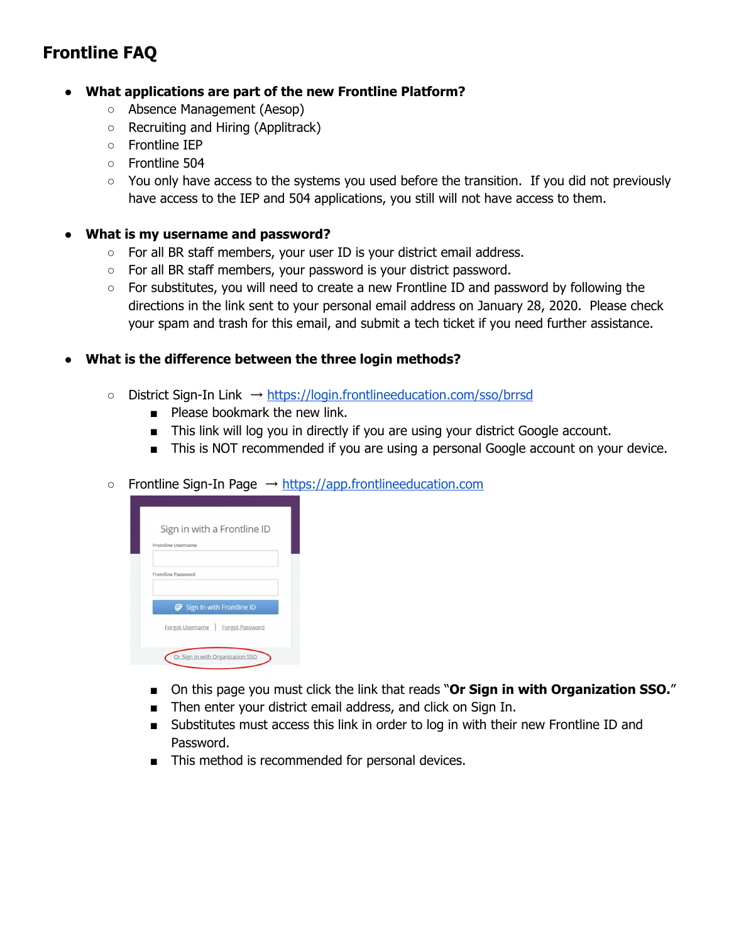# **Frontline FAQ**

## ● **What applications are part of the new Frontline Platform?**

- Absence Management (Aesop)
- Recruiting and Hiring (Applitrack)
- Frontline IEP
- Frontline 504
- $\circ$  You only have access to the systems you used before the transition. If you did not previously have access to the IEP and 504 applications, you still will not have access to them.

### ● **What is my username and password?**

- For all BR staff members, your user ID is your district email address.
- For all BR staff members, your password is your district password.
- For substitutes, you will need to create a new Frontline ID and password by following the directions in the link sent to your personal email address on January 28, 2020. Please check your spam and trash for this email, and submit a tech ticket if you need further assistance.

## **● What is the difference between the three login methods?**

- District Sign-In Link → <https://login.frontlineeducation.com/sso/brrsd>
	- Please bookmark the new link.
	- This link will log you in directly if you are using your district Google account.
	- This is NOT recommended if you are using a personal Google account on your device.
- Frontline Sign-In Page → [https://app.frontlineeducation.com](https://app.frontlineeducation.com/)



- On this page you must click the link that reads "**Or Sign in with Organization SSO.**"
- Then enter your district email address, and click on Sign In.
- Substitutes must access this link in order to log in with their new Frontline ID and Password.
- This method is recommended for personal devices.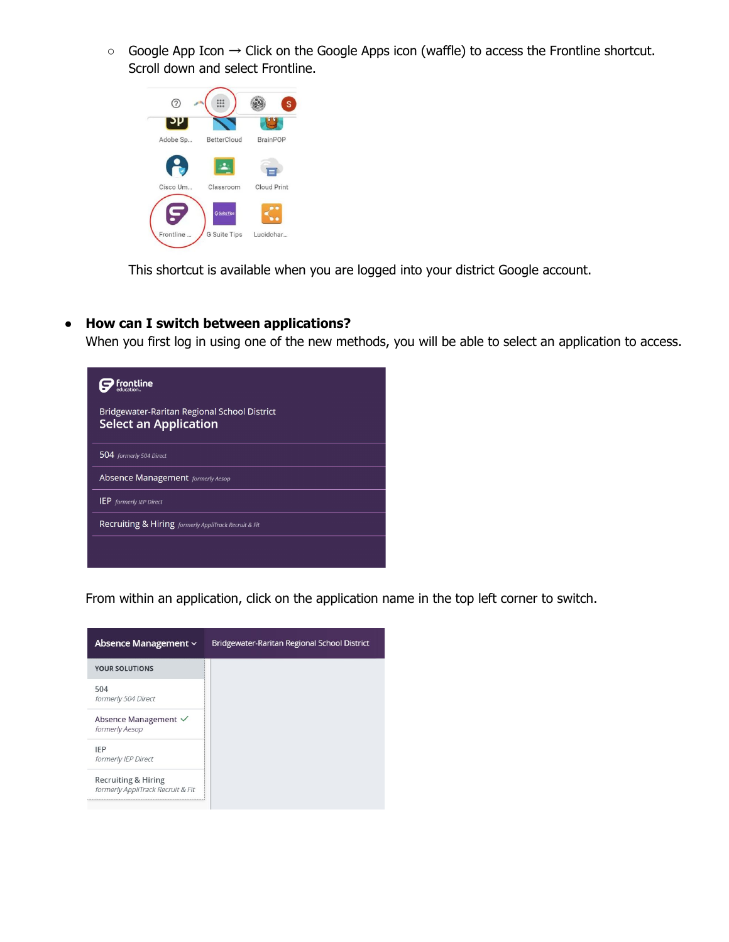$\circ$  Google App Icon  $\rightarrow$  Click on the Google Apps icon (waffle) to access the Frontline shortcut. Scroll down and select Frontline.



This shortcut is available when you are logged into your district Google account.

### **● How can I switch between applications?**

When you first log in using one of the new methods, you will be able to select an application to access.



From within an application, click on the application name in the top left corner to switch.